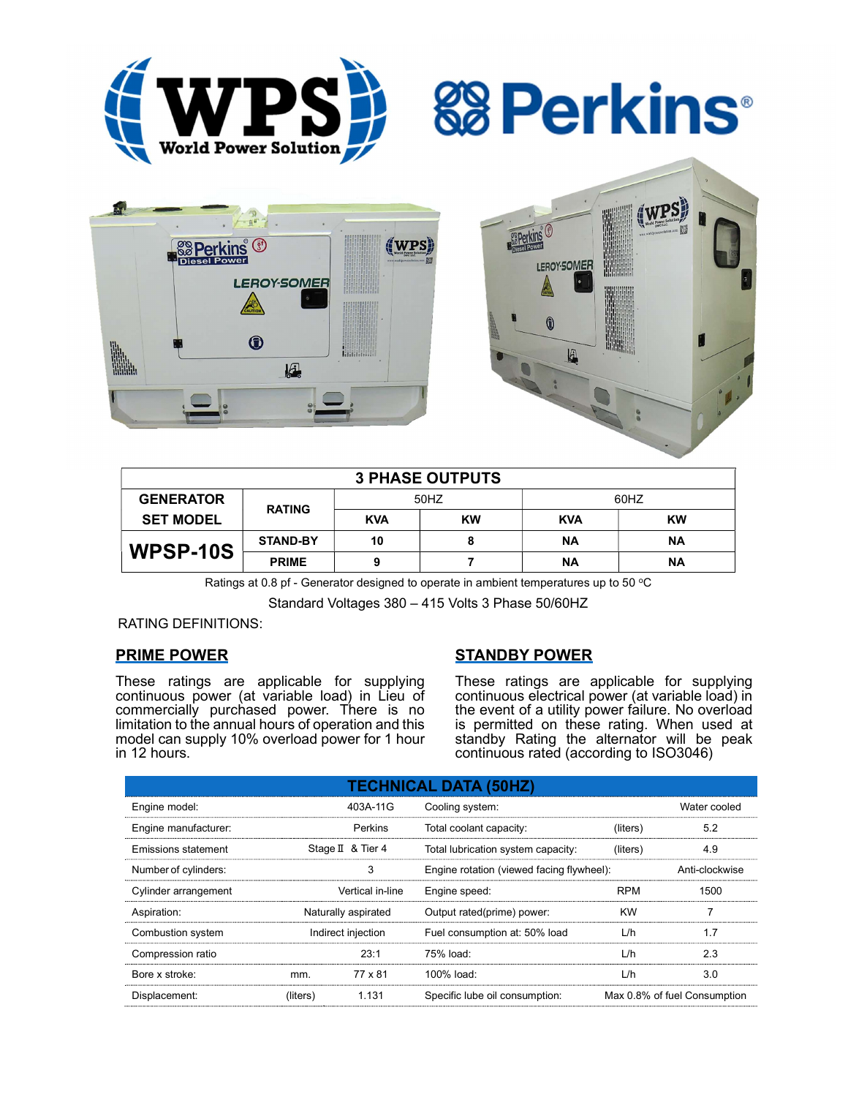

**&B Perkins** 





| <b>3 PHASE OUTPUTS</b> |                 |            |           |            |           |  |  |
|------------------------|-----------------|------------|-----------|------------|-----------|--|--|
| <b>GENERATOR</b>       | <b>RATING</b>   | 50HZ       |           | 60HZ       |           |  |  |
| <b>SET MODEL</b>       |                 | <b>KVA</b> | <b>KW</b> | <b>KVA</b> | <b>KW</b> |  |  |
| WPSP-10S               | <b>STAND-BY</b> | 10         | 8         | ΝA         | ΝA        |  |  |
|                        | <b>PRIME</b>    |            |           | ΝA         | <b>NA</b> |  |  |

Ratings at 0.8 pf - Generator designed to operate in ambient temperatures up to 50  $^{\circ}$ C

Standard Voltages 380 – 415 Volts 3 Phase 50/60HZ

### RATING DEFINITIONS:

# PRIME POWER

These ratings are applicable for supplying continuous power (at variable load) in Lieu of commercially purchased power. There is no limitation to the annual hours of operation and this model can supply 10% overload power for 1 hour in 12 hours.

# STANDBY POWER

These ratings are applicable for supplying continuous electrical power (at variable load) in the event of a utility power failure. No overload is permitted on these rating. When used at standby Rating the alternator will be peak continuous rated (according to ISO3046)

| <b>TECHNICAL DATA (50HZ)</b> |                     |                   |                                           |            |                              |  |  |
|------------------------------|---------------------|-------------------|-------------------------------------------|------------|------------------------------|--|--|
| Engine model:                |                     | 403A-11G          | Cooling system:                           |            | Water cooled                 |  |  |
| Engine manufacturer:         |                     | Perkins           | Total coolant capacity:                   | (liters)   | 5.2                          |  |  |
| Emissions statement          |                     | Stage II & Tier 4 | Total lubrication system capacity:        | (liters)   | 4.9                          |  |  |
| Number of cylinders:         | 3                   |                   | Engine rotation (viewed facing flywheel): |            | Anti-clockwise               |  |  |
| Cylinder arrangement         |                     | Vertical in-line  | Engine speed:                             | <b>RPM</b> | 1500                         |  |  |
| Aspiration:                  | Naturally aspirated |                   | Output rated(prime) power:                | <b>KW</b>  |                              |  |  |
| Combustion system            | Indirect injection  |                   | Fuel consumption at: 50% load             | L/h        | 1.7                          |  |  |
| Compression ratio            |                     | 23:1              | 75% load:                                 | L/h        | 2.3                          |  |  |
| Bore x stroke:               | mm.                 | 77 x 81           | $100\%$ load:                             | L/h        | 3.0                          |  |  |
| Displacement:                | (liters)            | 1.131             | Specific lube oil consumption:            |            | Max 0.8% of fuel Consumption |  |  |